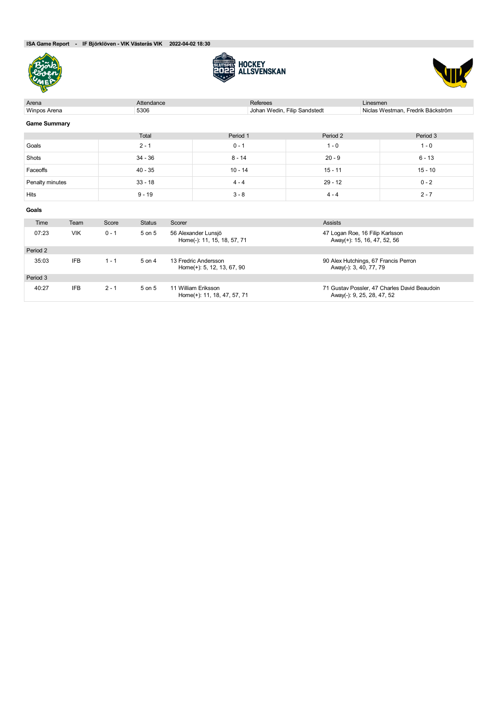**ISA Game Report - IF Björklöven - VIK Västerås VIK 2022-04-02 18:30**







| Arena               | Attendance |           | Referees      | Linesmen                                           |                                                    |                              |                                                                |                                              |  |
|---------------------|------------|-----------|---------------|----------------------------------------------------|----------------------------------------------------|------------------------------|----------------------------------------------------------------|----------------------------------------------|--|
| Winpos Arena        |            |           | 5306          |                                                    |                                                    | Johan Wedin, Filip Sandstedt |                                                                | Niclas Westman, Fredrik Bäckström            |  |
| <b>Game Summary</b> |            |           |               |                                                    |                                                    |                              |                                                                |                                              |  |
|                     |            |           | Total         |                                                    | Period 1                                           | Period 2                     |                                                                | Period 3                                     |  |
| Goals               |            |           | $2 - 1$       |                                                    | $0 - 1$                                            | $1 - 0$                      |                                                                | $1 - 0$                                      |  |
| Shots               |            |           | $34 - 36$     |                                                    | $8 - 14$                                           | $20 - 9$                     |                                                                | $6 - 13$                                     |  |
| Faceoffs            |            |           | $40 - 35$     |                                                    | $10 - 14$                                          | $15 - 11$                    |                                                                | $15 - 10$                                    |  |
| Penalty minutes     |            | $33 - 18$ |               | $4 - 4$                                            | $29 - 12$                                          |                              | $0 - 2$                                                        |                                              |  |
| Hits                |            |           | $9 - 19$      |                                                    | $3 - 8$                                            | $4 - 4$                      |                                                                | $2 - 7$                                      |  |
| Goals               |            |           |               |                                                    |                                                    |                              |                                                                |                                              |  |
| Time                | Team       | Score     | <b>Status</b> | Scorer                                             |                                                    | <b>Assists</b>               |                                                                |                                              |  |
| 07:23               | <b>VIK</b> | $0 - 1$   | 5 on 5        | 56 Alexander Lunsjö<br>Home(-): 11, 15, 18, 57, 71 |                                                    |                              | 47 Logan Roe, 16 Filip Karlsson<br>Away(+): 15, 16, 47, 52, 56 |                                              |  |
| Period 2            |            |           |               |                                                    |                                                    |                              |                                                                |                                              |  |
| 35:03               | <b>IFB</b> | $1 - 1$   | 5 on 4        |                                                    | 13 Fredric Andersson<br>Home(+): 5, 12, 13, 67, 90 |                              | 90 Alex Hutchings, 67 Francis Perron<br>Away(-): 3, 40, 77, 79 |                                              |  |
| Period 3            |            |           |               |                                                    |                                                    |                              |                                                                |                                              |  |
| 40:27               | <b>IFB</b> | $2 - 1$   | 5 on 5        |                                                    | 11 William Eriksson<br>Home(+): 11, 18, 47, 57, 71 |                              | Away(-): 9, 25, 28, 47, 52                                     | 71 Gustav Possler, 47 Charles David Beaudoin |  |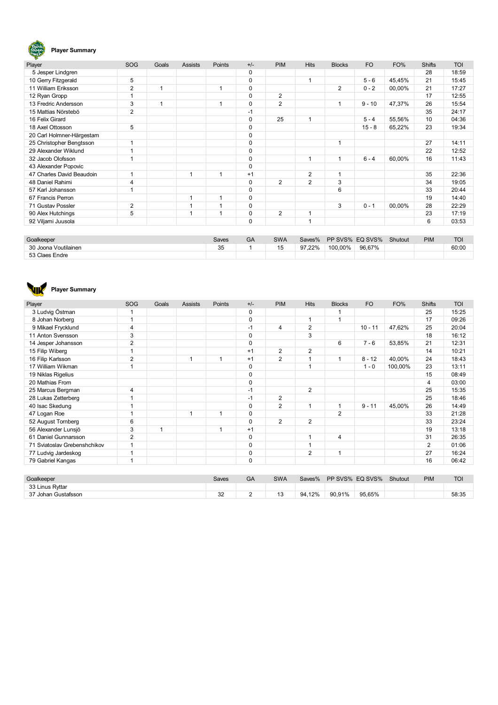# Bjork)

# **Player Summary**

| Player                    | SOG            | Goals | <b>Assists</b> | Points | $+/-$       | <b>PIM</b> | <b>Hits</b>    | <b>Blocks</b>  | <b>FO</b> | FO%    | <b>Shifts</b> | <b>TOI</b> |
|---------------------------|----------------|-------|----------------|--------|-------------|------------|----------------|----------------|-----------|--------|---------------|------------|
| 5 Jesper Lindgren         |                |       |                |        | 0           |            |                |                |           |        | 28            | 18:59      |
| 10 Gerry Fitzgerald       | 5              |       |                |        | $\Omega$    |            |                |                | $5 - 6$   | 45,45% | 21            | 15:45      |
| 11 William Eriksson       | $\overline{2}$ |       |                |        | $\Omega$    |            |                | $\overline{2}$ | $0 - 2$   | 00,00% | 21            | 17:27      |
| 12 Ryan Gropp             | 1              |       |                |        | 0           | 2          |                |                |           |        | 17            | 12:55      |
| 13 Fredric Andersson      | 3              |       |                |        | 0           | 2          |                | 1              | $9 - 10$  | 47,37% | 26            | 15:54      |
| 15 Mattias Nörstebö       | $\overline{2}$ |       |                |        | $-1$        |            |                |                |           |        | 35            | 24:17      |
| 16 Felix Girard           |                |       |                |        | 0           | 25         |                |                | $5 - 4$   | 55,56% | 10            | 04:36      |
| 18 Axel Ottosson          | 5              |       |                |        | 0           |            |                |                | $15 - 8$  | 65,22% | 23            | 19:34      |
| 20 Carl Holmner-Härgestam |                |       |                |        | 0           |            |                |                |           |        |               |            |
| 25 Christopher Bengtsson  | 1              |       |                |        | $\mathbf 0$ |            |                | 1              |           |        | 27            | 14:11      |
| 29 Alexander Wiklund      | ×              |       |                |        | 0           |            |                |                |           |        | 22            | 12:52      |
| 32 Jacob Olofsson         | 1              |       |                |        | $\mathbf 0$ |            |                | 1              | $6 - 4$   | 60,00% | 16            | 11:43      |
| 43 Alexander Popovic      |                |       |                |        | $\Omega$    |            |                |                |           |        |               |            |
| 47 Charles David Beaudoin | 1              |       |                | ٠      | $+1$        |            | $\overline{2}$ | 1              |           |        | 35            | 22:36      |
| 48 Daniel Rahimi          | 4              |       |                |        | $\Omega$    | 2          | 2              | 3              |           |        | 34            | 19:05      |
| 57 Karl Johansson         | 1              |       |                |        | 0           |            |                | 6              |           |        | 33            | 20:44      |
| 67 Francis Perron         |                |       |                |        | $\Omega$    |            |                |                |           |        | 19            | 14:40      |
| 71 Gustav Possler         | $\overline{2}$ |       |                |        | $\Omega$    |            |                | 3              | $0 - 1$   | 00,00% | 28            | 22:29      |
| 90 Alex Hutchings         | 5              |       |                |        | $\Omega$    | 2          |                |                |           |        | 23            | 17:19      |
| 92 Viljami Juusola        |                |       |                |        | $\mathbf 0$ |            |                |                |           |        | 6             | 03:53      |

| Goalkeeper           | Saves | GA | <b>SWA</b> | Saves% | PP SVS% EQ SVS% |        | Shutout | <b>PIM</b> | <b>TOI</b> |
|----------------------|-------|----|------------|--------|-----------------|--------|---------|------------|------------|
| 30 Joona Voutilainen | 35    |    | 15         | 97.22% | 100,00%         | 96,67% |         |            | 60:00      |
| 53 Claes Endre       |       |    |            |        |                 |        |         |            |            |
|                      |       |    |            |        |                 |        |         |            |            |

# **Player Summary**

| Player                       | SOG            | Goals          | <b>Assists</b> | Points | $+/-$          | <b>PIM</b>     | <b>Hits</b>    | <b>Blocks</b>  | <b>FO</b>       | FO%     | <b>Shifts</b>  | <b>TOI</b> |
|------------------------------|----------------|----------------|----------------|--------|----------------|----------------|----------------|----------------|-----------------|---------|----------------|------------|
| 3 Ludvig Östman              | 1              |                |                |        | 0              |                |                | 1              |                 |         | 25             | 15:25      |
| 8 Johan Norberg              | 1              |                |                |        | $\mathbf 0$    |                | 1              | 1              |                 |         | 17             | 09:26      |
| 9 Mikael Frycklund           | 4              |                |                |        | $-1$           | 4              | 2              |                | $10 - 11$       | 47,62%  | 25             | 20:04      |
| 11 Anton Svensson            | 3              |                |                |        | $\mathbf 0$    |                | 3              |                |                 |         | 18             | 16:12      |
| 14 Jesper Johansson          | $\overline{2}$ |                |                |        | $\mathbf 0$    |                |                | 6              | $7 - 6$         | 53,85%  | 21             | 12:31      |
| 15 Filip Wiberg              | 1              |                |                |        | $+1$           | $\overline{2}$ | 2              |                |                 |         | 14             | 10:21      |
| 16 Filip Karlsson            | $\overline{2}$ |                | 1              | 1      | $+1$           | $\overline{2}$ | 1              | 1              | $8 - 12$        | 40,00%  | 24             | 18:43      |
| 17 William Wikman            | 1              |                |                |        | $\mathbf 0$    |                | 1              |                | $1 - 0$         | 100,00% | 23             | 13:11      |
| 19 Niklas Rigelius           |                |                |                |        | $\mathbf 0$    |                |                |                |                 |         | 15             | 08:49      |
| 20 Mathias From              |                |                |                |        | $\mathbf 0$    |                |                |                |                 |         | 4              | 03:00      |
| 25 Marcus Bergman            | 4              |                |                |        | $-1$           |                | $\overline{2}$ |                |                 |         | 25             | 15:35      |
| 28 Lukas Zetterberg          | 4              |                |                |        | $-1$           | $\overline{2}$ |                |                |                 |         | 25             | 18:46      |
| 40 Isac Skedung              | и              |                |                |        | $\mathbf 0$    | $\overline{2}$ | 1              | $\mathbf{1}$   | $9 - 11$        | 45,00%  | 26             | 14:49      |
| 47 Logan Roe                 | 4              |                | 1              | 1      | $\mathbf 0$    |                |                | $\overline{2}$ |                 |         | 33             | 21:28      |
| 52 August Tornberg           | 6              |                |                |        | $\mathbf 0$    | $\overline{2}$ | $\overline{2}$ |                |                 |         | 33             | 23:24      |
| 56 Alexander Lunsjö          | 3              | $\overline{1}$ |                | 1      | $+1$           |                |                |                |                 |         | 19             | 13:18      |
| 61 Daniel Gunnarsson         | $\overline{2}$ |                |                |        | $\mathbf 0$    |                | 1              | $\overline{4}$ |                 |         | 31             | 26:35      |
| 71 Sviatoslav Grebenshchikov | 1              |                |                |        | 0              |                | 1              |                |                 |         | $\overline{2}$ | 01:06      |
| 77 Ludvig Jardeskog          | 1              |                |                |        | $\mathbf 0$    |                | $\overline{2}$ | 1              |                 |         | 27             | 16:24      |
| 79 Gabriel Kangas            | 1              |                |                |        | $\mathbf 0$    |                |                |                |                 |         | 16             | 06:42      |
|                              |                |                |                |        |                |                |                |                |                 |         |                |            |
| Goalkeeper                   |                |                |                | Saves  | GA             | <b>SWA</b>     | Saves%         |                | PP SVS% EQ SVS% | Shutout | <b>PIM</b>     | <b>TOI</b> |
| 33 Linus Ryttar              |                |                |                |        |                |                |                |                |                 |         |                |            |
| 37 Johan Gustafsson          |                |                |                | 32     | $\overline{2}$ | 13             | 94,12%         | 90,91%         | 95,65%          |         |                | 58:35      |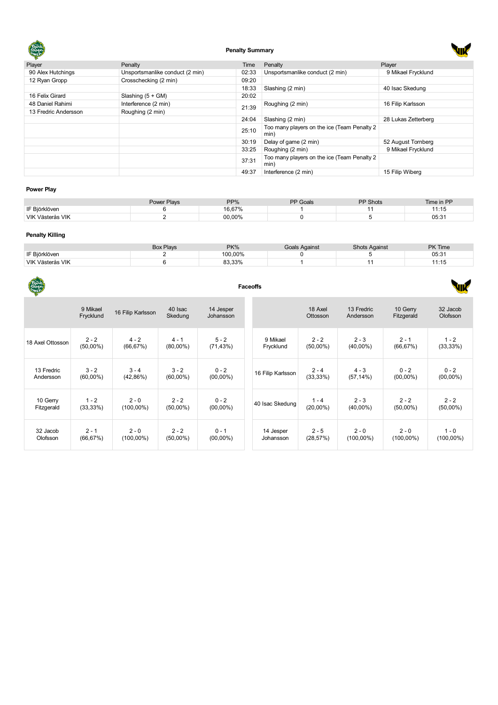

# **Penalty Summary**

| Player               | Penalty                         | Time  | Penalty                                              | Player              |
|----------------------|---------------------------------|-------|------------------------------------------------------|---------------------|
| 90 Alex Hutchings    | Unsportsmanlike conduct (2 min) | 02:33 | Unsportsmanlike conduct (2 min)                      | 9 Mikael Frycklund  |
| 12 Ryan Gropp        | Crosschecking (2 min)           | 09:20 |                                                      |                     |
|                      |                                 | 18:33 | Slashing (2 min)                                     | 40 Isac Skedung     |
| 16 Felix Girard      | Slashing $(5 + GM)$             | 20:02 |                                                      |                     |
| 48 Daniel Rahimi     | Interference (2 min)            | 21:39 | Roughing (2 min)                                     | 16 Filip Karlsson   |
| 13 Fredric Andersson | Roughing (2 min)                |       |                                                      |                     |
|                      |                                 | 24:04 | Slashing (2 min)                                     | 28 Lukas Zetterberg |
|                      |                                 | 25:10 | Too many players on the ice (Team Penalty 2)<br>min) |                     |
|                      |                                 | 30:19 | Delay of game (2 min)                                | 52 August Tornberg  |
|                      |                                 | 33:25 | Roughing (2 min)                                     | 9 Mikael Frycklund  |
|                      |                                 | 37:31 | Too many players on the ice (Team Penalty 2<br>min)  |                     |
|                      |                                 | 49:37 | Interference (2 min)                                 | 15 Filip Wiberg     |

# **Power Play**

|                  | Power Plays | PP%    | <b>PP Goals</b> | PP Shots | Time in PP     |
|------------------|-------------|--------|-----------------|----------|----------------|
| IF Biörklöven    |             | 16.67% |                 |          | . 0            |
| VIK Västerås VIK |             | 00.00% |                 |          | 05.94<br>ו ט.ט |

# **Penalty Killing**

|                  | <b>Box Plays</b> | <b>PK%</b> | Goals Against | <b>Shots Against</b> | PK Time |
|------------------|------------------|------------|---------------|----------------------|---------|
| IF Biörklöven    |                  | 100.00%    |               |                      | 05:31   |
| VIK Västerås VIK |                  | 83,33%     |               |                      | ں       |

| Bjäk<br>Caven    |                       | <b>Faceoffs</b>   |                    |                        |                   |                     |                         |                        |                      |  |  |
|------------------|-----------------------|-------------------|--------------------|------------------------|-------------------|---------------------|-------------------------|------------------------|----------------------|--|--|
|                  | 9 Mikael<br>Frycklund | 16 Filip Karlsson | 40 Isac<br>Skedung | 14 Jesper<br>Johansson |                   | 18 Axel<br>Ottosson | 13 Fredric<br>Andersson | 10 Gerry<br>Fitzgerald | 32 Jacob<br>Olofsson |  |  |
| 18 Axel Ottosson | $2 - 2$               | $4 - 2$           | $4 - 1$            | $5 - 2$                | 9 Mikael          | $2 - 2$             | $2 - 3$                 | $2 - 1$                | $1 - 2$              |  |  |
|                  | $(50,00\%)$           | (66, 67%)         | $(80,00\%)$        | (71, 43%)              | Frycklund         | $(50,00\%)$         | $(40,00\%)$             | (66, 67%)              | (33, 33%)            |  |  |
| 13 Fredric       | $3 - 2$               | $3 - 4$           | $3 - 2$            | $0 - 2$                | 16 Filip Karlsson | $2 - 4$             | $4 - 3$                 | $0 - 2$                | $0 - 2$              |  |  |
| Andersson        | $(60,00\%)$           | $(42,86\%)$       | $(60,00\%)$        | $(00,00\%)$            |                   | (33, 33%)           | $(57, 14\%)$            | $(00,00\%)$            | $(00,00\%)$          |  |  |
| 10 Gerry         | $1 - 2$               | $2 - 0$           | $2 - 2$            | $0 - 2$                | 40 Isac Skedung   | $1 - 4$             | $2 - 3$                 | $2 - 2$                | $2 - 2$              |  |  |
| Fitzgerald       | $(33,33\%)$           | $(100,00\%)$      | $(50,00\%)$        | $(00,00\%)$            |                   | $(20,00\%)$         | $(40,00\%)$             | $(50,00\%)$            | $(50,00\%)$          |  |  |
| 32 Jacob         | $2 - 1$               | $2 - 0$           | $2 - 2$            | $0 - 1$                | 14 Jesper         | $2 - 5$             | $2 - 0$                 | $2 - 0$                | $1 - 0$              |  |  |
| Olofsson         | (66, 67%)             | $(100,00\%)$      | $(50,00\%)$        | $(00,00\%)$            | Johansson         | (28, 57%)           | $(100,00\%)$            | $(100,00\%)$           | $(100,00\%)$         |  |  |

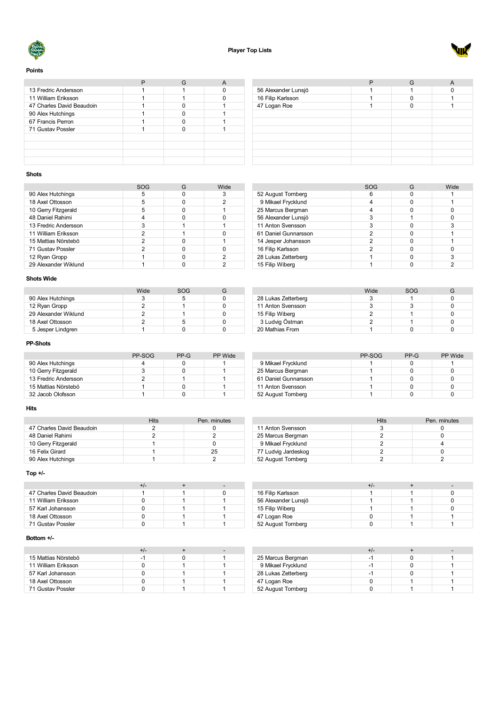



# **Points**

| 13 Fredric Andersson      |  |  |
|---------------------------|--|--|
| 11 William Eriksson       |  |  |
| 47 Charles David Beaudoin |  |  |
| 90 Alex Hutchings         |  |  |
| 67 Francis Perron         |  |  |
| 71 Gustav Possler         |  |  |
|                           |  |  |
|                           |  |  |
|                           |  |  |
|                           |  |  |

|                     | G |  |
|---------------------|---|--|
| 56 Alexander Lunsjö |   |  |
| 16 Filip Karlsson   |   |  |
|                     |   |  |
|                     |   |  |
|                     |   |  |
|                     |   |  |
|                     |   |  |
|                     |   |  |
|                     |   |  |
|                     |   |  |
| 47 Logan Roe        |   |  |

# **Shots**

|                      | SOG | Wide |
|----------------------|-----|------|
| 90 Alex Hutchings    | 5   |      |
| 18 Axel Ottosson     | 5   | 2    |
| 10 Gerry Fitzgerald  | 5   |      |
| 48 Daniel Rahimi     |     |      |
| 13 Fredric Andersson | 3   |      |
| 11 William Eriksson  | 2   |      |
| 15 Mattias Nörstebö  | 2   |      |
| 71 Gustav Possler    | 2   |      |
| 12 Ryan Gropp        |     | 2    |
| 29 Alexander Wiklund |     | າ    |

# **Shots Wide**

|                      | Wide | SOG |  |
|----------------------|------|-----|--|
| 90 Alex Hutchings    |      |     |  |
| 12 Ryan Gropp        |      |     |  |
| 29 Alexander Wiklund |      |     |  |
| 18 Axel Ottosson     |      |     |  |
| 5 Jesper Lindgren    |      |     |  |

# **PP-Shots**

|                      | PP-SOG | PP-G | <b>PP</b> Wide |
|----------------------|--------|------|----------------|
| 90 Alex Hutchings    |        |      |                |
| 10 Gerry Fitzgerald  |        |      |                |
| 13 Fredric Andersson |        |      |                |
| 15 Mattias Nörstebö  |        |      |                |
| 32 Jacob Olofsson    |        |      |                |

# **Hits**

| Hits | Pen. minutes |
|------|--------------|
|      |              |
|      |              |
|      |              |
|      | 25           |
|      |              |
|      |              |

# **Top +/-**

| 47 Charles David Beaudoin |  |  |
|---------------------------|--|--|
| 11 William Eriksson       |  |  |
| 57 Karl Johansson         |  |  |
| 18 Axel Ottosson          |  |  |
| 71 Gustav Possler         |  |  |

# **Bottom +/-**

| 15 Mattias Nörstebö | -1 |  |
|---------------------|----|--|
| 11 William Eriksson |    |  |
| 57 Karl Johansson   |    |  |
| 18 Axel Ottosson    |    |  |
| 71 Gustav Possler   |    |  |

|                      | <b>SOG</b> | G | Wide |
|----------------------|------------|---|------|
| 52 August Tornberg   |            |   |      |
| 9 Mikael Frycklund   |            |   |      |
| 25 Marcus Bergman    |            |   |      |
| 56 Alexander Lunsjö  |            |   |      |
| 11 Anton Svensson    | 3          |   | 3    |
| 61 Daniel Gunnarsson | 2          |   |      |
| 14 Jesper Johansson  | 2          |   |      |
| 16 Filip Karlsson    | 2          |   |      |
| 28 Lukas Zetterberg  |            |   | 3    |
| 15 Filip Wiberg      |            |   |      |

|                     | Wide | SOG |  |
|---------------------|------|-----|--|
| 28 Lukas Zetterberg |      |     |  |
| 11 Anton Svensson   |      |     |  |
| 15 Filip Wiberg     |      |     |  |
| 3 Ludvig Östman     |      |     |  |
| 20 Mathias From     |      |     |  |

|                      | PP-SOG | $PP-G$ | <b>PP Wide</b> |
|----------------------|--------|--------|----------------|
| 9 Mikael Frycklund   |        |        |                |
| 25 Marcus Bergman    |        |        |                |
| 61 Daniel Gunnarsson |        |        |                |
| 11 Anton Svensson    |        |        |                |
| 52 August Tornberg   |        |        |                |

|                     | Hits | Pen. minutes |
|---------------------|------|--------------|
| 11 Anton Svensson   |      |              |
| 25 Marcus Bergman   |      |              |
| 9 Mikael Frycklund  |      |              |
| 77 Ludvig Jardeskog |      |              |
| 52 August Tornberg  |      |              |

|                     | +/- |  |
|---------------------|-----|--|
| 16 Filip Karlsson   |     |  |
| 56 Alexander Lunsjö |     |  |
| 15 Filip Wiberg     |     |  |
| 47 Logan Roe        |     |  |
| 52 August Tornberg  |     |  |

|                     | +/- |  |
|---------------------|-----|--|
| 25 Marcus Bergman   |     |  |
| 9 Mikael Frycklund  | - 1 |  |
| 28 Lukas Zetterberg |     |  |
| 47 Logan Roe        |     |  |
| 52 August Tornberg  |     |  |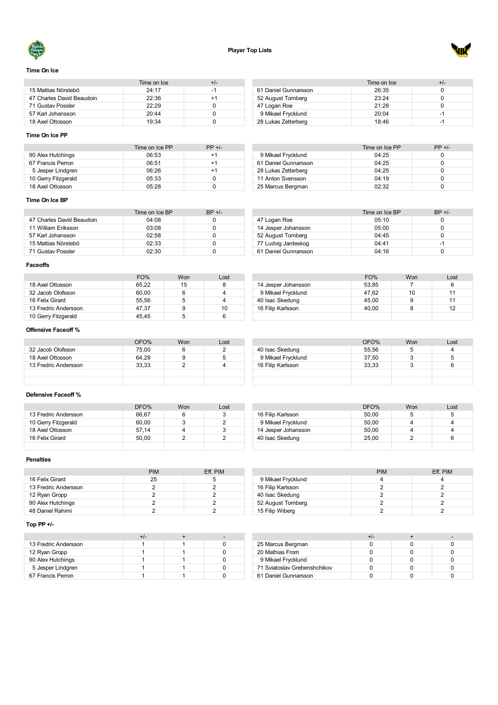



# **Time On Ice**

|                           | Time on Ice | +/- |
|---------------------------|-------------|-----|
| 15 Mattias Nörstebö       | 24.17       | -1  |
| 47 Charles David Beaudoin | 22:36       | +1  |
| 71 Gustav Possler         | 22.29       |     |
| 57 Karl Johansson         | 20.44       |     |
| 18 Axel Ottosson          | 19.34       |     |

#### Time on Ice  $+/-$ <br>26:35 0 61 Daniel Gunnarsson 26:35 0<br>
52 August Tomberg 23:24 0 52 August Tomberg 23:24 0<br>47 Logan Roe 21:28 0 47 Logan Roe Mikael Frycklund 20:04 -1 Lukas Zetterberg 18:46 -1

# **Time On Ice PP**

|                     | Time on Ice PP | $PP +/-$ |
|---------------------|----------------|----------|
| 90 Alex Hutchings   | 06:53          | $+1$     |
| 67 Francis Perron   | 06:51          | $+1$     |
| 5 Jesper Lindgren   | 06:26          | $+1$     |
| 10 Gerry Fitzgerald | 05:33          |          |
| 18 Axel Ottosson    | 05.28          |          |

| 9 Mikael Frycklund  | 20:04          | -1       |
|---------------------|----------------|----------|
| 28 Lukas Zetterberg | 18:46          | -1       |
|                     |                |          |
|                     |                |          |
|                     |                |          |
|                     | Time on Ice PP | $PP + L$ |

| 9 Mikael Frycklund   | 04:25 |  |
|----------------------|-------|--|
| 61 Daniel Gunnarsson | 04:25 |  |
| 28 Lukas Zetterberg  | 04:25 |  |
| 11 Anton Svensson    | 04.19 |  |
| 25 Marcus Bergman    | 02.32 |  |

#### **Time On Ice BP**

|                           | Time on Ice BP | $BP +/-$ |
|---------------------------|----------------|----------|
| 47 Charles David Beaudoin | 04:08          |          |
| 11 William Eriksson       | 03:08          |          |
| 57 Karl Johansson         | 02:58          |          |
| 15 Mattias Nörstebö       | 02:33          |          |
| 71 Gustav Possler         | 02.30          |          |

|                      | Time on Ice BP | $BP +/-$ |
|----------------------|----------------|----------|
| 47 Logan Roe         | 05:10          |          |
| 14 Jesper Johansson  | 05:00          |          |
| 52 August Tornberg   | 04:45          |          |
| 77 Ludvig Jardeskog  | 04.41          | -1       |
| 61 Daniel Gunnarsson | 04:16          |          |

#### **Faceoffs**

|                      | FO%   | <b>Won</b> | Lost |                     | FO%   | Won | Lost           |
|----------------------|-------|------------|------|---------------------|-------|-----|----------------|
| 18 Axel Ottosson     | 65,22 | 15         |      | 14 Jesper Johansson | 53,85 |     |                |
| 32 Jacob Olofsson    | 60,00 |            |      | 9 Mikael Frycklund  | 47.62 | 10  |                |
| 16 Felix Girard      | 55.56 |            |      | 40 Isac Skedung     | 45.00 |     |                |
| 13 Fredric Andersson | 47,37 |            | 10   | 16 Filip Karlsson   | 40.00 |     | $\overline{A}$ |
| 10 Gerry Fitzgerald  | 45.45 |            |      |                     |       |     |                |

# **Offensive Faceoff %**

|                      | OFO%  | <b>Won</b> | Lost |                    | OFO%  | Won | Lost |
|----------------------|-------|------------|------|--------------------|-------|-----|------|
| 32 Jacob Olofsson    | 75.00 |            | -    | 40 Isac Skedung    | 55.56 |     |      |
| 18 Axel Ottosson     | 64.29 | 9          |      | 9 Mikael Frycklund | 37.50 |     |      |
| 13 Fredric Andersson | 33.33 |            |      | 16 Filip Karlsson  | 33.33 |     |      |
|                      |       |            |      |                    |       |     |      |
|                      |       |            |      |                    |       |     |      |

#### **Defensive Faceoff %**

|                      | DFO%  | Won | Lost |
|----------------------|-------|-----|------|
| 13 Fredric Andersson | 66.67 | 6   | 3    |
| 10 Gerry Fitzgerald  | 60.00 | 3   |      |
| 18 Axel Ottosson     | 57.14 |     | 3    |
| 16 Felix Girard      | 50.00 |     |      |
|                      |       |     |      |

# DFO% Won Lost 16 Filip Karlsson 50,00 5 5 Mikael Frycklund 50,00 4 4 Jesper Johansson 50,00 4 4 Isac Skedung 25,00 2 6

# **Penalties**

|                      | <b>PIM</b> | Eff. PIM |
|----------------------|------------|----------|
| 16 Felix Girard      | 25         |          |
| 13 Fredric Andersson |            |          |
| 12 Ryan Gropp        |            |          |
| 90 Alex Hutchings    |            |          |
| 48 Daniel Rahimi     |            |          |

# **Top PP +/-**

| 13 Fredric Andersson |  |  |
|----------------------|--|--|
| 12 Ryan Gropp        |  |  |
| 90 Alex Hutchings    |  |  |
| 5 Jesper Lindgren    |  |  |
| 67 Francis Perron    |  |  |

|                    | <b>PIM</b> | Eff. PIM |
|--------------------|------------|----------|
| 9 Mikael Frycklund |            |          |
| 16 Filip Karlsson  |            |          |
| 40 Isac Skedung    |            |          |
| 52 August Tornberg |            |          |
| 15 Filip Wiberg    |            |          |
|                    |            |          |

|                              | +/- |  |
|------------------------------|-----|--|
| 25 Marcus Bergman            |     |  |
| 20 Mathias From              |     |  |
| 9 Mikael Frycklund           |     |  |
| 71 Sviatoslav Grebenshchikov |     |  |
| 61 Daniel Gunnarsson         |     |  |